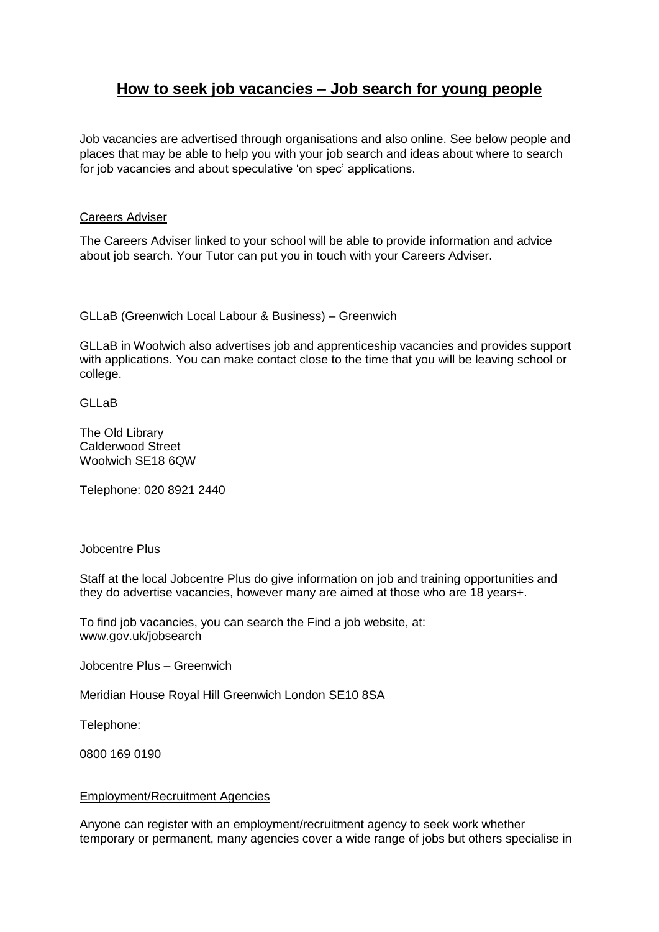# **How to seek job vacancies – Job search for young people**

Job vacancies are advertised through organisations and also online. See below people and places that may be able to help you with your job search and ideas about where to search for job vacancies and about speculative 'on spec' applications.

## Careers Adviser

The Careers Adviser linked to your school will be able to provide information and advice about job search. Your Tutor can put you in touch with your Careers Adviser.

#### GLLaB (Greenwich Local Labour & Business) – Greenwich

GLLaB in Woolwich also advertises job and apprenticeship vacancies and provides support with applications. You can make contact close to the time that you will be leaving school or college.

GLLaB

The Old Library Calderwood Street Woolwich SE18 6QW

Telephone: [020 8921 2440](tel:02089212440)

#### Jobcentre Plus

Staff at the local Jobcentre Plus do give information on job and training opportunities and they do advertise vacancies, however many are aimed at those who are 18 years+.

To find job vacancies, you can search the Find a job website, at: [www.gov.uk/jobsearch](http://www.gov.uk/jobsearch)

Jobcentre Plus – Greenwich

Meridian House Royal Hill Greenwich London SE10 8SA

Telephone:

0800 169 [0190](tel:08001690190)

## Employment/Recruitment Agencies

Anyone can register with an employment/recruitment agency to seek work whether temporary or permanent, many agencies cover a wide range of jobs but others specialise in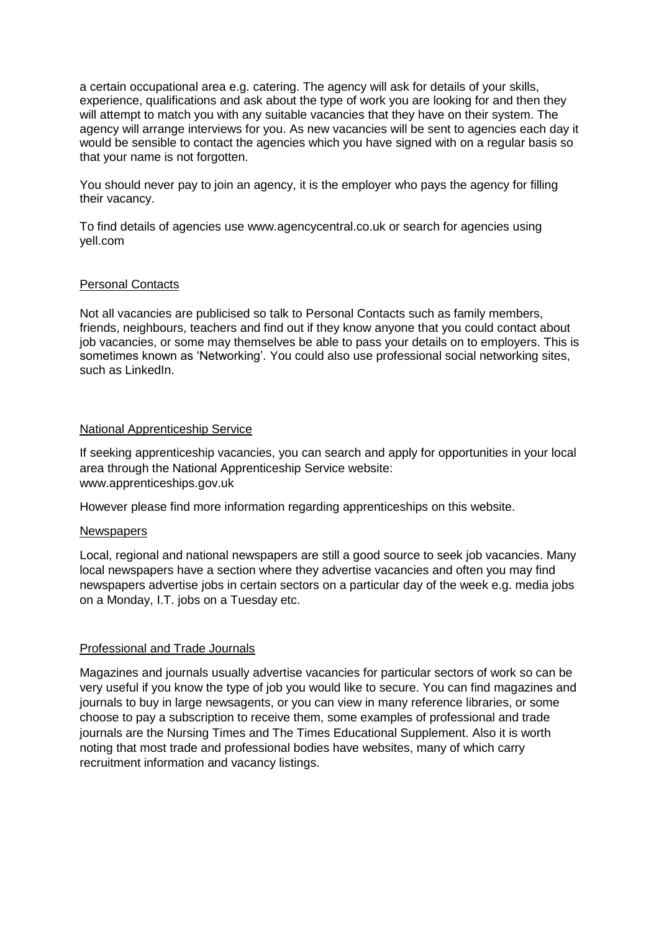a certain occupational area e.g. catering. The agency will ask for details of your skills, experience, qualifications and ask about the type of work you are looking for and then they will attempt to match you with any suitable vacancies that they have on their system. The agency will arrange interviews for you. As new vacancies will be sent to agencies each day it would be sensible to contact the agencies which you have signed with on a regular basis so that your name is not forgotten.

You should never pay to join an agency, it is the employer who pays the agency for filling their vacancy.

To find details of agencies use [www.agencycentral.co.uk](http://www.agencycentral.co.uk/) or search for agencies using yell.com

# Personal Contacts

Not all vacancies are publicised so talk to Personal Contacts such as family members, friends, neighbours, teachers and find out if they know anyone that you could contact about job vacancies, or some may themselves be able to pass your details on to employers. This is sometimes known as 'Networking'. You could also use professional social networking sites, such as LinkedIn.

## National Apprenticeship Service

If seeking apprenticeship vacancies, you can search and apply for opportunities in your local area through the National Apprenticeship Service website: [www.apprenticeships.gov.uk](http://www.apprenticeships.gov.uk/) 

However please find more information regarding apprenticeships on this website.

#### **Newspapers**

Local, regional and national newspapers are still a good source to seek job vacancies. Many local newspapers have a section where they advertise vacancies and often you may find newspapers advertise jobs in certain sectors on a particular day of the week e.g. media jobs on a Monday, I.T. jobs on a Tuesday etc.

# Professional and Trade Journals

Magazines and journals usually advertise vacancies for particular sectors of work so can be very useful if you know the type of job you would like to secure. You can find magazines and journals to buy in large newsagents, or you can view in many reference libraries, or some choose to pay a subscription to receive them, some examples of professional and trade journals are the Nursing Times and The Times Educational Supplement. Also it is worth noting that most trade and professional bodies have websites, many of which carry recruitment information and vacancy listings.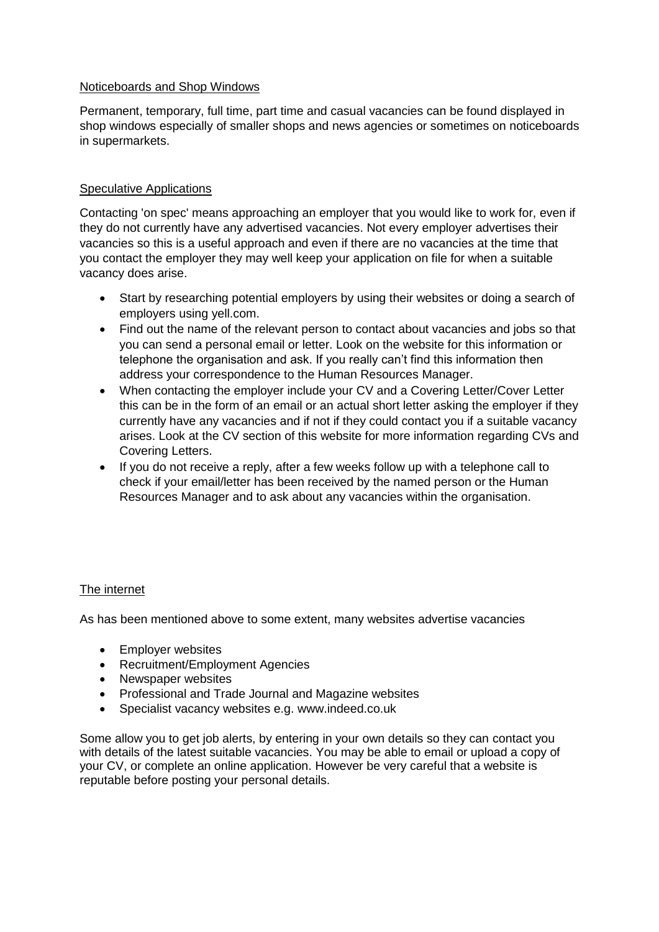# Noticeboards and Shop Windows

Permanent, temporary, full time, part time and casual vacancies can be found displayed in shop windows especially of smaller shops and news agencies or sometimes on noticeboards in supermarkets.

## Speculative Applications

Contacting 'on spec' means approaching an employer that you would like to work for, even if they do not currently have any advertised vacancies. Not every employer advertises their vacancies so this is a useful approach and even if there are no vacancies at the time that you contact the employer they may well keep your application on file for when a suitable vacancy does arise.

- Start by researching potential employers by using their websites or doing a search of employers using yell.com.
- Find out the name of the relevant person to contact about vacancies and jobs so that you can send a personal email or letter. Look on the website for this information or telephone the organisation and ask. If you really can't find this information then address your correspondence to the Human Resources Manager.
- When contacting the employer include your CV and a Covering Letter/Cover Letter this can be in the form of an email or an actual short letter asking the employer if they currently have any vacancies and if not if they could contact you if a suitable vacancy arises. Look at the CV section of this website for more information regarding CVs and Covering Letters.
- If you do not receive a reply, after a few weeks follow up with a telephone call to check if your email/letter has been received by the named person or the Human Resources Manager and to ask about any vacancies within the organisation.

# The internet

As has been mentioned above to some extent, many websites advertise vacancies

- Employer websites
- Recruitment/Employment Agencies
- Newspaper websites
- Professional and Trade Journal and Magazine websites
- Specialist vacancy websites e.g. www.indeed.co.uk

Some allow you to get job alerts, by entering in your own details so they can contact you with details of the latest suitable vacancies. You may be able to email or upload a copy of your CV, or complete an online application. However be very careful that a website is reputable before posting your personal details.